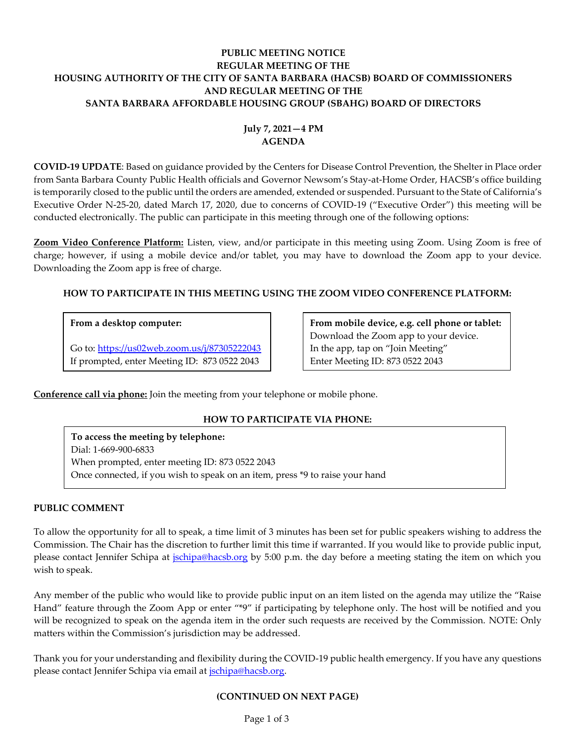# **PUBLIC MEETING NOTICE REGULAR MEETING OF THE HOUSING AUTHORITY OF THE CITY OF SANTA BARBARA (HACSB) BOARD OF COMMISSIONERS AND REGULAR MEETING OF THE SANTA BARBARA AFFORDABLE HOUSING GROUP (SBAHG) BOARD OF DIRECTORS**

# **July 7, 2021—4 PM AGENDA**

**COVID-19 UPDATE**: Based on guidance provided by the Centers for Disease Control Prevention, the Shelter in Place order from Santa Barbara County Public Health officials and Governor Newsom's Stay-at-Home Order, HACSB's office building is temporarily closed to the public until the orders are amended, extended or suspended. Pursuant to the State of California's Executive Order N-25-20, dated March 17, 2020, due to concerns of COVID-19 ("Executive Order") this meeting will be conducted electronically. The public can participate in this meeting through one of the following options:

**Zoom Video Conference Platform:** Listen, view, and/or participate in this meeting using Zoom. Using Zoom is free of charge; however, if using a mobile device and/or tablet, you may have to download the Zoom app to your device. Downloading the Zoom app is free of charge.

# **HOW TO PARTICIPATE IN THIS MEETING USING THE ZOOM VIDEO CONFERENCE PLATFORM:**

# **From a desktop computer:**

Go to:<https://us02web.zoom.us/j/87305222043> If prompted, enter Meeting ID: 873 0522 2043

**From mobile device, e.g. cell phone or tablet:** Download the Zoom app to your device. In the app, tap on "Join Meeting" Enter Meeting ID: 873 0522 2043

**Conference call via phone:** Join the meeting from your telephone or mobile phone.

# **HOW TO PARTICIPATE VIA PHONE:**

**To access the meeting by telephone:** Dial: 1-669-900-6833 When prompted, enter meeting ID: 873 0522 2043 Once connected, if you wish to speak on an item, press \*9 to raise your hand

## **PUBLIC COMMENT**

To allow the opportunity for all to speak, a time limit of 3 minutes has been set for public speakers wishing to address the Commission. The Chair has the discretion to further limit this time if warranted. If you would like to provide public input, please contact Jennifer Schipa at *jschipa@hacsb.org* by 5:00 p.m. the day before a meeting stating the item on which you wish to speak.

Any member of the public who would like to provide public input on an item listed on the agenda may utilize the "Raise Hand" feature through the Zoom App or enter "\*9" if participating by telephone only. The host will be notified and you will be recognized to speak on the agenda item in the order such requests are received by the Commission. NOTE: Only matters within the Commission's jurisdiction may be addressed.

Thank you for your understanding and flexibility during the COVID-19 public health emergency. If you have any questions please contact Jennifer Schipa via email at [jschipa@hacsb.org.](mailto:jschipa@hacsb.org)

## **(CONTINUED ON NEXT PAGE)**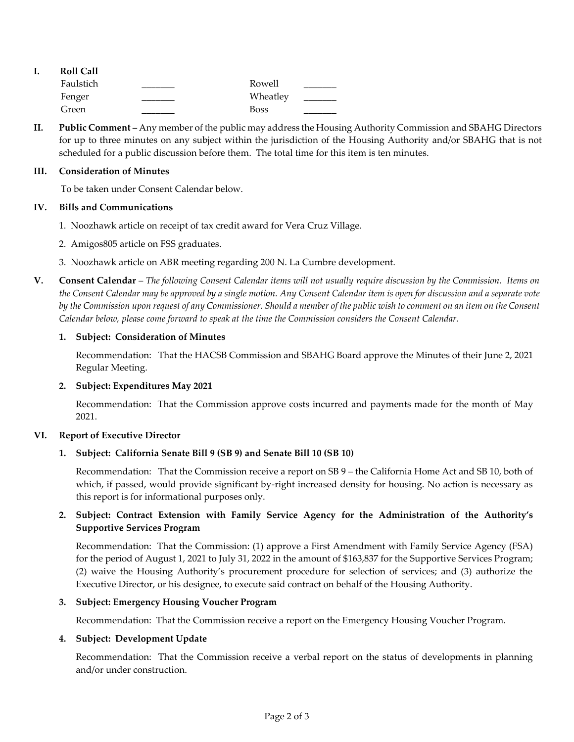| <b>Roll Call</b> |             |  |
|------------------|-------------|--|
| Faulstich        | Rowell      |  |
| Fenger           | Wheatley    |  |
| Green            | <b>Boss</b> |  |

**II. Public Comment** – Any member of the public may address the Housing Authority Commission and SBAHG Directors for up to three minutes on any subject within the jurisdiction of the Housing Authority and/or SBAHG that is not scheduled for a public discussion before them. The total time for this item is ten minutes.

### **III. Consideration of Minutes**

To be taken under Consent Calendar below.

### **IV. Bills and Communications**

- 1. [Noozhawk article on receipt of tax credit award for Vera Cruz Village.](https://hacsb.org/download/meetings_2021/items/july/Item-IV.1_Noozhawk-Vera-Cruz-Village.pdf)
- 2. Amigos805 [article on FSS graduates.](https://hacsb.org/download/meetings_2021/items/july/Item-IV.2_Amigos805-FSS-Graduates.pdf)
- [3. Noozhawk article on ABR meeting regarding 200 N. La Cumbre development.](https://hacsb.org/download/meetings_2021/items/july/Item-IV.3_Noozhawk-200-NLC-ABR.pdf)
- **V. Consent Calendar** *The following Consent Calendar items will not usually require discussion by the Commission. Items on the Consent Calendar may be approved by a single motion. Any Consent Calendar item is open for discussion and a separate vote by the Commission upon request of any Commissioner. Should a member of the public wish to comment on an item on the Consent Calendar below, please come forward to speak at the time the Commission considers the Consent Calendar.*

### **1. Subject: Consideration of Minutes**

[Recommendation: That the HACSB Commission](https://hacsb.org/download/meetings_2021/items/july/Item-V.1_Minutes-06-02-2021.pdf) and SBAHG Board approve the Minutes of their June 2, 2021 Regular Meeting.

#### **2. Subject: Expenditures May 2021**

[Recommendation: That the Commission approve costs incurred and payments made for the month of May](https://hacsb.org/download/meetings_2021/items/july/Item-V.2_May-2021-Expenditures.pdf) 2021.

## **VI. Report of Executive Director**

## **1. Subject: California Senate Bill 9 (SB 9) and Senate Bill 10 (SB 10)**

Recommendation: That the Commission receive a report on SB 9 – the California Home Act and SB 10, both of [which, if passed, would provide significant by-right increased density for housing. No action is necessary as](https://hacsb.org/download/meetings_2021/items/july/Item-VI.1_CA-Senate-Bills-9-and-10.pdf)  this report is for informational purposes only.

# **2. Subject: Contract Extension with Family Service Agency for the Administration of the Authority's Supportive Services Program**

Recommendation: That the Commission: (1) approve a First Amendment with Family Service Agency (FSA) [for the period of August 1, 2021 to July 31, 2022 in the amount of \\$163,837 for the Supportive Services Program;](https://hacsb.org/download/meetings_2021/items/july/Item-VI.2_Supportive-Services-Contract.pdf)  (2) waive the Housing Authority's procurement procedure for selection of services; and (3) authorize the Executive Director, or his designee, to execute said contract on behalf of the Housing Authority.

#### **3. Subject: Emergency Housing Voucher Program**

[Recommendation: That the Commission receive a report on the Emergency Housing Voucher Program.](https://hacsb.org/download/meetings_2021/items/july/Item-VI.3_-Emergency-Housing-Voucher-Program.pdf)

## **4. Subject: Development Update**

Recommendation: That the Commission receive a verbal report on the status of developments in planning and/or under construction.